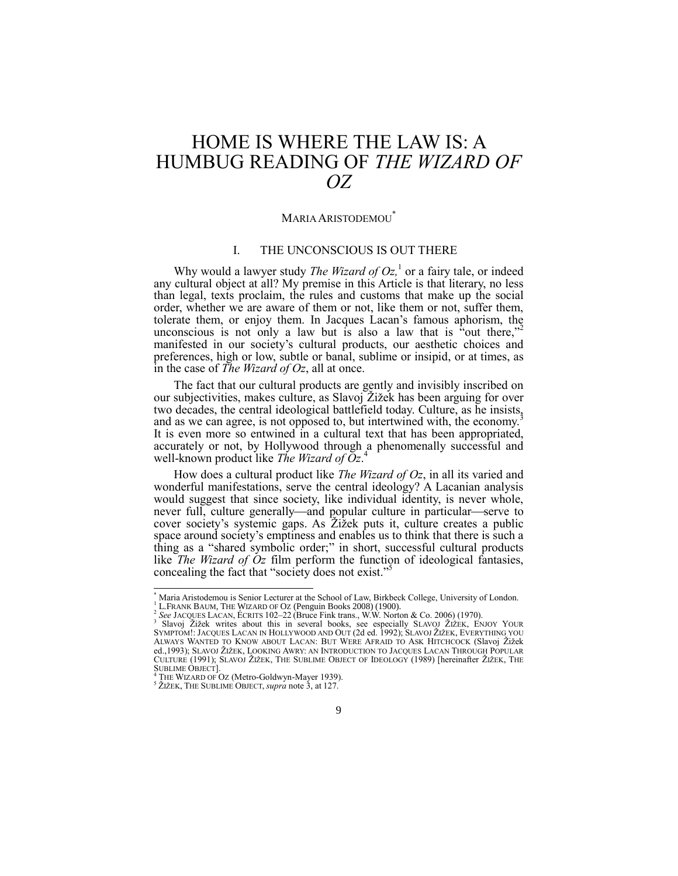# HOME IS WHERE THE LAW IS: A HUMBUG READING OF *THE WIZARD OF OZ*

## <span id="page-0-3"></span><span id="page-0-2"></span><span id="page-0-0"></span>MARIA ARISTODEMOU\*

## I. THE UNCONSCIOUS IS OUT THERE

Why would a lawyer study *The Wizard of Oz,* 1 or a fairy tale, or indeed any cultural object at all? My premise in this Article is that literary, no less than legal, texts proclaim, the rules and customs that make up the social order, whether we are aware of them or not, like them or not, suffer them, tolerate them, or enjoy them. In Jacques Lacan's famous aphorism, the unconscious is not only a law but is also a law that is "out there,"<sup>2</sup> manifested in our society's cultural products, our aesthetic choices and preferences, high or low, subtle or banal, sublime or insipid, or at times, as in the case of *The Wizard of Oz*, all at once.

The fact that our cultural products are gently and invisibly inscribed on our subjectivities, makes culture, as Slavoj Žižek has been arguing for over two decades, the central ideological battlefield today. Culture, as he insists, and as we can agree, is not opposed to, but intertwined with, the economy.<sup>3</sup> It is even more so entwined in a cultural text that has been appropriated, accurately or not, by Hollywood through a phenomenally successful and well-known product like *The Wizard of Oz*. 4

<span id="page-0-1"></span>How does a cultural product like *The Wizard of Oz*, in all its varied and wonderful manifestations, serve the central ideology? A Lacanian analysis would suggest that since society, like individual identity, is never whole, never full, culture generally—and popular culture in particular—serve to cover society's systemic gaps. As Žižek puts it, culture creates a public space around society's emptiness and enables us to think that there is such a thing as a "shared symbolic order;" in short, successful cultural products like *The Wizard of Oz* film perform the function of ideological fantasies, concealing the fact that "society does not exist."

l

Maria Aristodemou is Senior Lecturer at the School of Law, Birkbeck College, University of London.

<sup>1</sup> L.FRANK BAUM, THE WIZARD OF OZ (Penguin Books 2008) (1900). 2 *See* JACQUES LACAN, ÉCRITS 102–22 (Bruce Fink trans., W.W. Norton & Co. 2006) (1970).

<sup>&</sup>lt;sup>3</sup> Slavoj Žižek writes about this in several books, see especially SLAVOJ ŽIŽEK, ENJOY YOUR

SYMPTOM!: JACQUES LACAN IN HOLLYWOOD AND OUT (2d ed. 1992); SLAVOJ ŽIŽEK, EVERYTHING YOU ALWAYS WANTED TO KNOW ABOUT LACAN: BUT WERE AFRAID TO ASK HITCHCOCK (Slavoj Žižek ed.,1993); SLAVOJ ŽIŽEK, LOOKING AWRY: AN INTRODUCTION TO JACQUES LACAN THROUGH POPULAR CULTURE (1991); SLAVOJ ŽIŽEK, THE SUBLIME OBJECT OF IDEOLOGY (1989) [hereinafter ŽIŽEK, THE SUBLIME OBJECT].

THE WIZARD OF OZ (Metro-Goldwyn-Mayer 1939).

<sup>&</sup>lt;sup>5</sup> ŽIŽEK, THE SUBLIME OBJECT, *supra* not[e 3,](#page-0-0) at 127.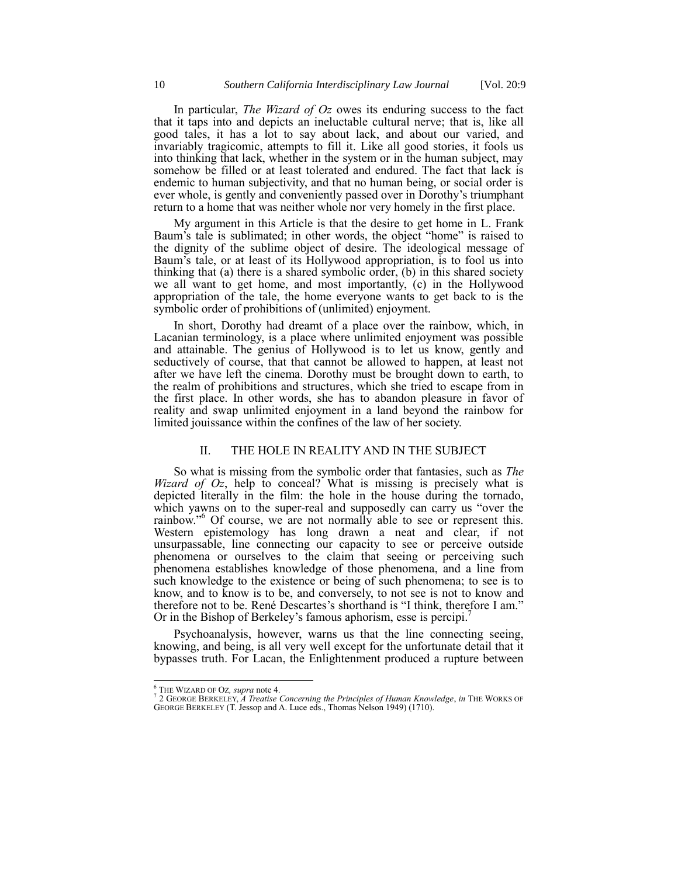In particular, *The Wizard of Oz* owes its enduring success to the fact that it taps into and depicts an ineluctable cultural nerve; that is, like all good tales, it has a lot to say about lack, and about our varied, and invariably tragicomic, attempts to fill it. Like all good stories, it fools us into thinking that lack, whether in the system or in the human subject, may somehow be filled or at least tolerated and endured. The fact that lack is endemic to human subjectivity, and that no human being, or social order is ever whole, is gently and conveniently passed over in Dorothy's triumphant return to a home that was neither whole nor very homely in the first place.

My argument in this Article is that the desire to get home in L. Frank Baum's tale is sublimated; in other words, the object "home" is raised to the dignity of the sublime object of desire. The ideological message of Baum's tale, or at least of its Hollywood appropriation, is to fool us into thinking that (a) there is a shared symbolic order, (b) in this shared society we all want to get home, and most importantly, (c) in the Hollywood appropriation of the tale, the home everyone wants to get back to is the symbolic order of prohibitions of (unlimited) enjoyment.

In short, Dorothy had dreamt of a place over the rainbow, which, in Lacanian terminology, is a place where unlimited enjoyment was possible and attainable. The genius of Hollywood is to let us know, gently and seductively of course, that that cannot be allowed to happen, at least not after we have left the cinema. Dorothy must be brought down to earth, to the realm of prohibitions and structures, which she tried to escape from in the first place. In other words, she has to abandon pleasure in favor of reality and swap unlimited enjoyment in a land beyond the rainbow for limited jouissance within the confines of the law of her society.

#### II. THE HOLE IN REALITY AND IN THE SUBJECT

So what is missing from the symbolic order that fantasies, such as *The Wizard of Oz*, help to conceal? What is missing is precisely what is depicted literally in the film: the hole in the house during the tornado, which yawns on to the super-real and supposedly can carry us "over the rainbow."<sup>6</sup> Of course, we are not normally able to see or represent this. Western epistemology has long drawn a neat and clear, if not unsurpassable, line connecting our capacity to see or perceive outside phenomena or ourselves to the claim that seeing or perceiving such phenomena establishes knowledge of those phenomena, and a line from such knowledge to the existence or being of such phenomena; to see is to know, and to know is to be, and conversely, to not see is not to know and therefore not to be. René Descartes's shorthand is "I think, therefore I am." Or in the Bishop of Berkeley's famous aphorism, esse is percipi.<sup>7</sup>

Psychoanalysis, however, warns us that the line connecting seeing, knowing, and being, is all very well except for the unfortunate detail that it bypasses truth. For Lacan, the Enlightenment produced a rupture between

j

<sup>6</sup> THE WIZARD OF OZ*, supra* not[e 4.](#page-0-1) 7 2 GEORGE BERKELEY, *A Treatise Concerning the Principles of Human Knowledge*, *in* THE WORKS OF GEORGE BERKELEY (T. Jessop and A. Luce eds., Thomas Nelson 1949) (1710).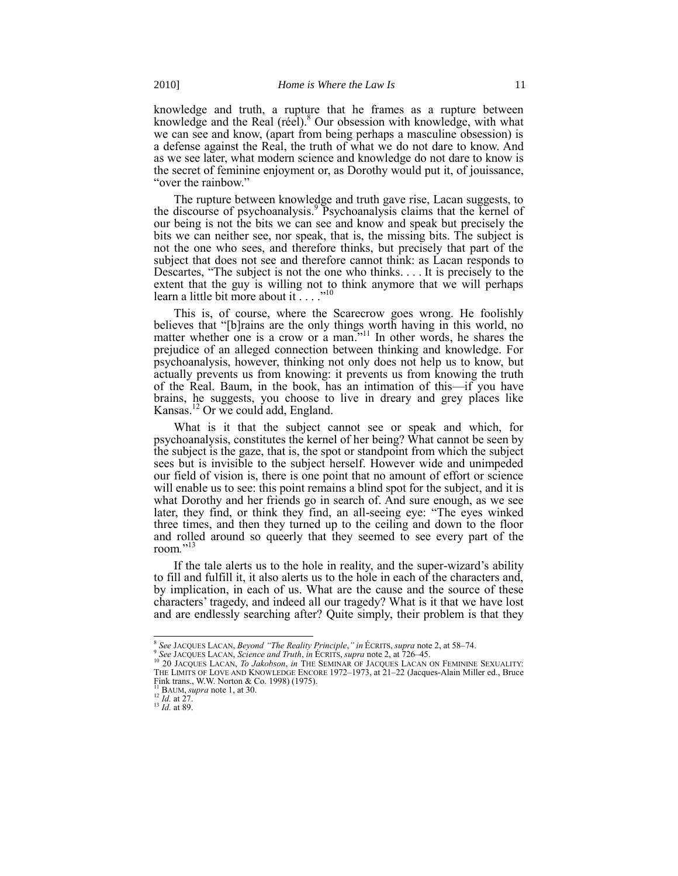knowledge and truth, a rupture that he frames as a rupture between knowledge and the Real (réel). <sup>8</sup> Our obsession with knowledge, with what we can see and know, (apart from being perhaps a masculine obsession) is a defense against the Real, the truth of what we do not dare to know. And as we see later, what modern science and knowledge do not dare to know is the secret of feminine enjoyment or, as Dorothy would put it, of jouissance, "over the rainbow."

The rupture between knowledge and truth gave rise, Lacan suggests, to the discourse of psychoanalysis.<sup>9</sup> Psychoanalysis claims that the kernel of our being is not the bits we can see and know and speak but precisely the bits we can neither see, nor speak, that is, the missing bits. The subject is not the one who sees, and therefore thinks, but precisely that part of the subject that does not see and therefore cannot think: as Lacan responds to Descartes, "The subject is not the one who thinks.... It is precisely to the extent that the guy is willing not to think anymore that we will perhaps learn a little bit more about it  $\ldots$ ."<sup>10</sup>

<span id="page-2-0"></span>This is, of course, where the Scarecrow goes wrong. He foolishly believes that "[b]rains are the only things worth having in this world, no matter whether one is a crow or a man.<sup>511</sup> In other words, he shares the prejudice of an alleged connection between thinking and knowledge. For psychoanalysis, however, thinking not only does not help us to know, but actually prevents us from knowing: it prevents us from knowing the truth of the Real. Baum, in the book, has an intimation of this—if you have brains, he suggests, you choose to live in dreary and grey places like Kansas. <sup>12</sup> Or we could add, England.

What is it that the subject cannot see or speak and which, for psychoanalysis, constitutes the kernel of her being? What cannot be seen by the subject is the gaze, that is, the spot or standpoint from which the subject sees but is invisible to the subject herself. However wide and unimpeded our field of vision is, there is one point that no amount of effort or science will enable us to see: this point remains a blind spot for the subject, and it is what Dorothy and her friends go in search of. And sure enough, as we see later, they find, or think they find, an all-seeing eye: "The eyes winked three times, and then they turned up to the ceiling and down to the floor and rolled around so queerly that they seemed to see every part of the room."<sup>13</sup>

If the tale alerts us to the hole in reality, and the super-wizard's ability to fill and fulfill it, it also alerts us to the hole in each of the characters and, by implication, in each of us. What are the cause and the source of these characters' tragedy, and indeed all our tragedy? What is it that we have lost and are endlessly searching after? Quite simply, their problem is that they

 8 *See* JACQUES LACAN, *Beyond "The Reality Principle*,*" in* ÉCRITS, *supra* not[e 2,](#page-0-2) at 58–74.

<sup>9</sup> *See* JACQUES LACAN, *Science and Truth*, *in* ÉCRITS, *supra* not[e 2,](#page-0-2) at 726–45. <sup>10</sup> 20 JACQUES LACAN, *To Jakobson*, *in* THE SEMINAR OF JACQUES LACAN ON FEMININE SEXUALITY: THE LIMITS OF LOVE AND KNOWLEDGE ENCORE 1972–1973, at 21–22 (Jacques-Alain Miller ed., Bruce Fink trans., W.W. Norton & Co. 1998) (1975).

BAUM, *supra* not[e 1,](#page-0-3) at 30.

<sup>12</sup> *Id.* at 27.

<sup>13</sup> *Id.* at 89.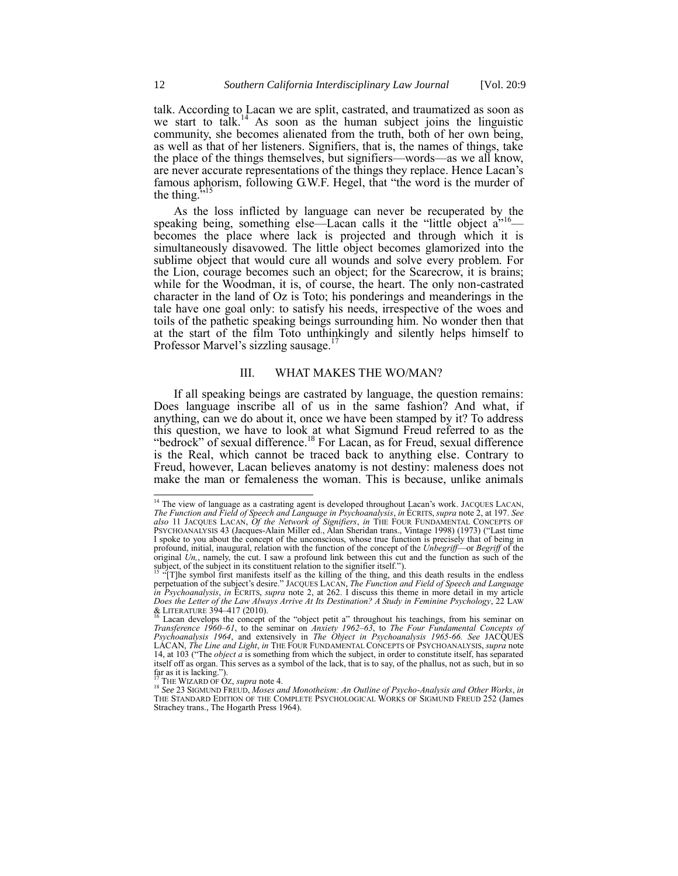<span id="page-3-0"></span>talk. According to Lacan we are split, castrated, and traumatized as soon as we start to talk.<sup>14</sup> As soon as the human subject joins the linguistic community, she becomes alienated from the truth, both of her own being, as well as that of her listeners. Signifiers, that is, the names of things, take the place of the things themselves, but signifiers—words—as we all know, are never accurate representations of the things they replace. Hence Lacan's famous aphorism, following G.W.F. Hegel, that "the word is the murder of the thing. $\overline{1}$ 

As the loss inflicted by language can never be recuperated by the speaking being, something else—Lacan calls it the "little object  $a^{\prime\prime 16}$  becomes the place where lack is projected and through which it is simultaneously disavowed. The little object becomes glamorized into the sublime object that would cure all wounds and solve every problem. For the Lion, courage becomes such an object; for the Scarecrow, it is brains; while for the Woodman, it is, of course, the heart. The only non-castrated character in the land of Oz is Toto; his ponderings and meanderings in the tale have one goal only: to satisfy his needs, irrespective of the woes and toils of the pathetic speaking beings surrounding him. No wonder then that at the start of the film Toto unthinkingly and silently helps himself to Professor Marvel's sizzling sausage.<sup>17</sup>

#### III. WHAT MAKES THE WO/MAN?

If all speaking beings are castrated by language, the question remains: Does language inscribe all of us in the same fashion? And what, if anything, can we do about it, once we have been stamped by it? To address this question, we have to look at what Sigmund Freud referred to as the "bedrock" of sexual difference.<sup>18</sup> For Lacan, as for Freud, sexual difference is the Real, which cannot be traced back to anything else. Contrary to Freud, however, Lacan believes anatomy is not destiny: maleness does not make the man or femaleness the woman. This is because, unlike animals

<sup>&</sup>lt;sup>14</sup> The view of language as a castrating agent is developed throughout Lacan's work. JACQUES LACAN, *The Function and Field of Speech and Language in Psychoanalysis*, *in* ÉCRITS, *supra* not[e 2,](#page-0-2) at 197. *See also* 11 JACQUES LACAN, *Of the Network of Signifiers*, *in* THE FOUR FUNDAMENTAL CONCEPTS OF PSYCHOANALYSIS 43 (Jacques-Alain Miller ed., Alan Sheridan trans., Vintage 1998) (1973) ("Last time I spoke to you about the concept of the unconscious, whose true function is precisely that of being in profound, initial, inaugural, relation with the function of the concept of the *Unbegriff*—or *Begriff* of the original *Un,*, namely, the cut. I saw a profound link between this cut and the function as such of the subject, of the subject in its constituent relation to the signifier itself.").

<sup>&</sup>lt;sup>15 "</sup>[T]he symbol first manifests itself as the killing of the thing, and this death results in the endless perpetuation of the subject's desire.‖ JACQUES LACAN, *The Function and Field of Speech and Language in Psychoanalysis*, *in* ÉCRITS, *supra* note [2,](#page-0-2) at 262. I discuss this theme in more detail in my article *Does the Letter of the Law Always Arrive At Its Destination? A Study in Feminine Psychology*, 22 LAW & LITERATURE 394–417 (2010).<br><sup>16</sup> Lacan develops the concept of the "object petit a" throughout his teachings, from his seminar on

*Transference 1960–61*, to the seminar on *Anxiety 1962–63*, to *The Four Fundamental Concepts of Psychoanalysis 1964*, and extensively in *The Object in Psychoanalysis 1965-66. See* JACQUES LACAN, *The Line and Light*, *in* THE FOUR FUNDAMENTAL CONCEPTS OF PSYCHOANALYSIS, *supra* note [14,](#page-3-0) at 103 ("The *object a* is something from which the subject, in order to constitute itself, has separated itself off as organ. This serves as a symbol of the lack, that is to say, of the phallus, not as such, but in so far as it is lacking.").<br><sup>17</sup> THE WIZARD OF OZ, *supra* not[e 4.](#page-0-1)

<sup>18</sup> *See* 23 SIGMUND FREUD, *Moses and Monotheism: An Outline of Psycho-Analysis and Other Works*, *in* THE STANDARD EDITION OF THE COMPLETE PSYCHOLOGICAL WORKS OF SIGMUND FREUD 252 (James Strachey trans., The Hogarth Press 1964).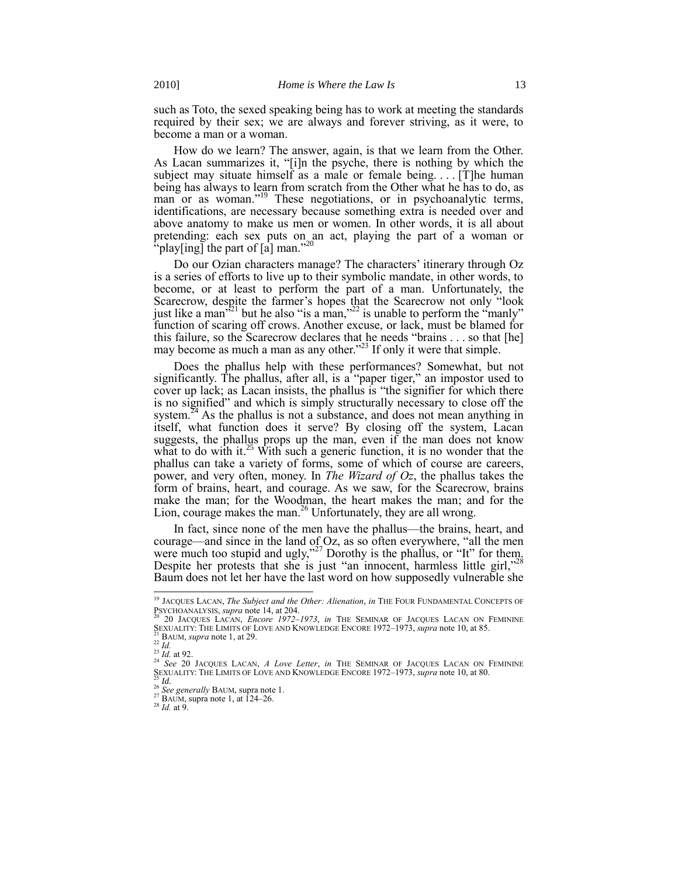such as Toto, the sexed speaking being has to work at meeting the standards required by their sex; we are always and forever striving, as it were, to become a man or a woman.

<span id="page-4-0"></span>How do we learn? The answer, again, is that we learn from the Other. As Lacan summarizes it, "[i]n the psyche, there is nothing by which the subject may situate himself as a male or female being.... [T]he human being has always to learn from scratch from the Other what he has to do, as man or as woman."<sup>19</sup> These negotiations, or in psychoanalytic terms, identifications, are necessary because something extra is needed over and above anatomy to make us men or women. In other words, it is all about pretending: each sex puts on an act, playing the part of a woman or  $\binom{n}{k}$  play[ing] the part of [a] man."<sup>20</sup>

Do our Ozian characters manage? The characters' itinerary through Oz is a series of efforts to live up to their symbolic mandate, in other words, to become, or at least to perform the part of a man. Unfortunately, the Scarecrow, despite the farmer's hopes that the Scarecrow not only "look just like a man<sup>321</sup> but he also "is a man,"<sup>22</sup> is unable to perform the "manly" function of scaring off crows. Another excuse, or lack, must be blamed for this failure, so the Scarecrow declares that he needs "brains  $\dots$  so that [he] may become as much a man as any other.<sup>223</sup> If only it were that simple.

Does the phallus help with these performances? Somewhat, but not significantly. The phallus, after all, is a  $\frac{1}{2}$  paper tiger," an impostor used to cover up lack; as Lacan insists, the phallus is "the signifier for which there is no signified" and which is simply structurally necessary to close off the system.<sup>24</sup> As the phallus is not a substance, and does not mean anything in itself, what function does it serve? By closing off the system, Lacan suggests, the phallus props up the man, even if the man does not know what to do with it.<sup>25</sup> With such a generic function, it is no wonder that the phallus can take a variety of forms, some of which of course are careers, power, and very often, money. In *The Wizard of Oz*, the phallus takes the form of brains, heart, and courage. As we saw, for the Scarecrow, brains make the man; for the Woodman, the heart makes the man; and for the Lion, courage makes the man.<sup>26</sup> Unfortunately, they are all wrong.

In fact, since none of the men have the phallus—the brains, heart, and courage—and since in the land of  $Oz$ , as so often everywhere, "all the men were much too stupid and ugly,"<sup>27</sup> Dorothy is the phallus, or  $\cdot$ "It" for them. Despite her protests that she is just "an innocent, harmless little girl," $^{28}$ Baum does not let her have the last word on how supposedly vulnerable she

l

<sup>19</sup> JACQUES LACAN, *The Subject and the Other: Alienation*, *in* THE FOUR FUNDAMENTAL CONCEPTS OF PSYCHOANALYSIS, *supra* not[e 14,](#page-3-0) at 204.

<sup>20</sup> 20 JACQUES LACAN, *Encore 1972–1973*, *in* THE SEMINAR OF JACQUES LACAN ON FEMININE SEXUALITY: THE LIMITS OF LOVE AND KNOWLEDGE ENCORE 1972–1973, *supra* not[e 10,](#page-2-0) at 85.<br><sup>21</sup> BAUM, *supra* not[e 1,](#page-0-3) at 29.<br><sup>22</sup> *Id.* 

 $^{23}$  *Id.* at 92.

<sup>&</sup>lt;sup>24</sup> See 20 JACQUES LACAN, *A Love Letter*, *in* THE SEMINAR OF JACQUES LACAN ON FEMININE SEXUALITY: THE LIMITS OF LOVE AND KNOWLEDGE ENCORE 1972–1973, *supra* not[e 10,](#page-2-0) at 80. <sup>25</sup> *Id.*

<sup>26</sup> *See generally* BAUM, supra not[e 1.](#page-0-3)

 $^{27}$  BAUM, supra not[e 1,](#page-0-3) at 124–26.

<sup>28</sup> *Id.* at 9.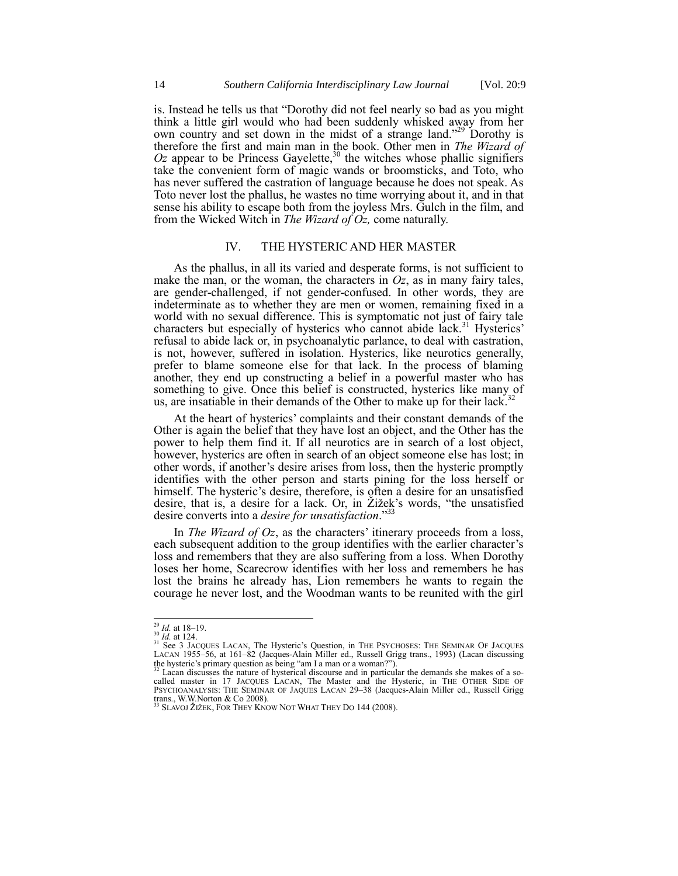is. Instead he tells us that "Dorothy did not feel nearly so bad as you might think a little girl would who had been suddenly whisked away from her own country and set down in the midst of a strange land.<sup>229</sup> Dorothy is therefore the first and main man in the book. Other men in *The Wizard of*   $Oz$  appear to be Princess Gayelette,<sup>30</sup> the witches whose phallic signifiers take the convenient form of magic wands or broomsticks, and Toto, who has never suffered the castration of language because he does not speak. As Toto never lost the phallus, he wastes no time worrying about it, and in that sense his ability to escape both from the joyless Mrs. Gulch in the film, and from the Wicked Witch in *The Wizard of Oz,* come naturally.

### <span id="page-5-0"></span>IV. THE HYSTERIC AND HER MASTER

As the phallus, in all its varied and desperate forms, is not sufficient to make the man, or the woman, the characters in  $Oz$ , as in many fairy tales, are gender-challenged, if not gender-confused. In other words, they are indeterminate as to whether they are men or women, remaining fixed in a world with no sexual difference. This is symptomatic not just of fairy tale characters but especially of hysterics who cannot abide lack.<sup>31</sup> Hysterics' refusal to abide lack or, in psychoanalytic parlance, to deal with castration, is not, however, suffered in isolation. Hysterics, like neurotics generally, prefer to blame someone else for that lack. In the process of blaming another, they end up constructing a belief in a powerful master who has something to give. Once this belief is constructed, hysterics like many of us, are insatiable in their demands of the Other to make up for their lack.<sup>32</sup>

At the heart of hysterics' complaints and their constant demands of the Other is again the belief that they have lost an object, and the Other has the power to help them find it. If all neurotics are in search of a lost object, however, hysterics are often in search of an object someone else has lost; in other words, if another's desire arises from loss, then the hysteric promptly identifies with the other person and starts pining for the loss herself or himself. The hysteric's desire, therefore, is often a desire for an unsatisfied desire, that is, a desire for a lack. Or, in Žižek's words, "the unsatisfied desire converts into a *desire for unsatisfaction*."

In *The Wizard of Oz*, as the characters' itinerary proceeds from a loss, each subsequent addition to the group identifies with the earlier character's loss and remembers that they are also suffering from a loss. When Dorothy loses her home, Scarecrow identifies with her loss and remembers he has lost the brains he already has, Lion remembers he wants to regain the courage he never lost, and the Woodman wants to be reunited with the girl

l

<sup>29</sup> *Id.* at 18–19.

<sup>&</sup>lt;sup>30</sup> *Id.* at 124.<br><sup>31</sup> See 3 JACQUES LACAN, The Hysteric's Question, in THE PSYCHOSES: THE SEMINAR OF JACQUES LACAN 1955*–*56, at 161*–*82 (Jacques-Alain Miller ed., Russell Grigg trans., 1993) (Lacan discussing the hysteric's primary question as being "am I a man or a woman?").<br><sup>32</sup> Lacan discusses the nature of hysterical discourse and in particular the demands she makes of a so-

called master in 17 JACQUES LACAN, The Master and the Hysteric, in THE OTHER SIDE OF PSYCHOANALYSIS: THE SEMINAR OF JAQUES LACAN 29–38 (Jacques-Alain Miller ed., Russell Grigg trans., W.W.Norton & Co 2008). <sup>33</sup> SLAVOJ ŽIŽEK, FOR THEY KNOW NOT WHAT THEY DO 144 (2008).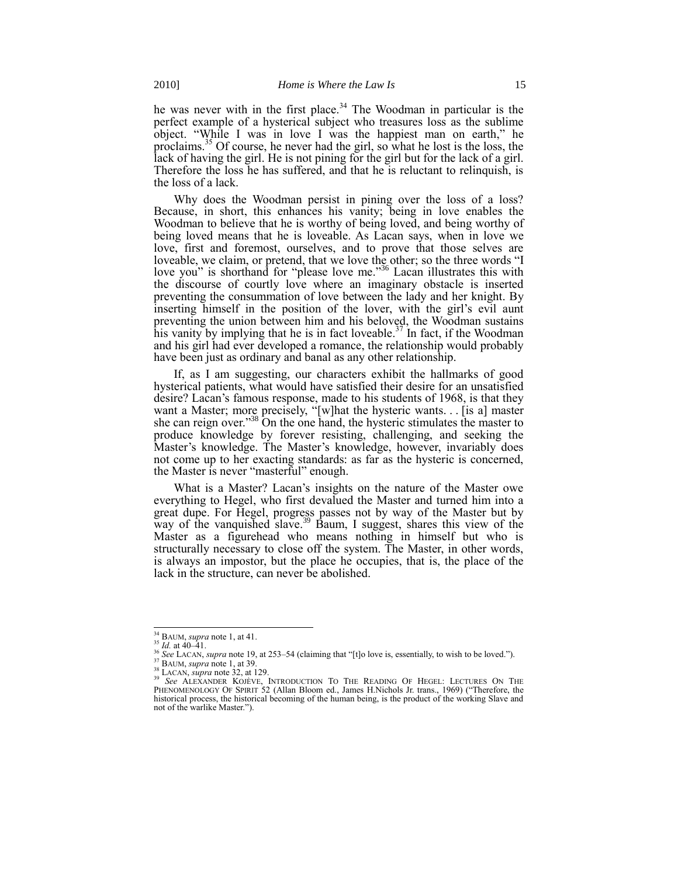he was never with in the first place.<sup>34</sup> The Woodman in particular is the perfect example of a hysterical subject who treasures loss as the sublime object. "While I was in love I was the happiest man on earth," he proclaims.<sup>35</sup> Of course, he never had the girl, so what he lost is the loss, the lack of having the girl. He is not pining for the girl but for the lack of a girl. Therefore the loss he has suffered, and that he is reluctant to relinquish, is the loss of a lack.

Why does the Woodman persist in pining over the loss of a loss? Because, in short, this enhances his vanity; being in love enables the Woodman to believe that he is worthy of being loved, and being worthy of being loved means that he is loveable. As Lacan says, when in love we love, first and foremost, ourselves, and to prove that those selves are loveable, we claim, or pretend, that we love the other; so the three words "I love you" is shorthand for "please love me."<sup>36</sup> Lacan illustrates this with the discourse of courtly love where an imaginary obstacle is inserted preventing the consummation of love between the lady and her knight. By inserting himself in the position of the lover, with the girl's evil aunt preventing the union between him and his beloved, the Woodman sustains his vanity by implying that he is in fact loveable.<sup>37</sup> In fact, if the Woodman and his girl had ever developed a romance, the relationship would probably have been just as ordinary and banal as any other relationship.

If, as I am suggesting, our characters exhibit the hallmarks of good hysterical patients, what would have satisfied their desire for an unsatisfied desire? Lacan's famous response, made to his students of 1968, is that they want a Master; more precisely, "[w]hat the hysteric wants. . . [is a] master she can reign over."<sup>38</sup> On the one hand, the hysteric stimulates the master to produce knowledge by forever resisting, challenging, and seeking the Master's knowledge. The Master's knowledge, however, invariably does not come up to her exacting standards: as far as the hysteric is concerned, the Master is never "masterful" enough.

What is a Master? Lacan's insights on the nature of the Master owe everything to Hegel, who first devalued the Master and turned him into a great dupe. For Hegel, progress passes not by way of the Master but by way of the vanquished slave.<sup>39</sup> Baum, I suggest, shares this view of the Master as a figurehead who means nothing in himself but who is structurally necessary to close off the system. The Master, in other words, is always an impostor, but the place he occupies, that is, the place of the lack in the structure, can never be abolished.

<sup>34</sup> BAUM, *supra* not[e 1,](#page-0-3) at 41.

 $^{35}$  *Id.* at 40–41.

<sup>&</sup>lt;sup>36</sup> See LACAN, *supra* not[e 19,](#page-4-0) at 253–54 (claiming that "[t]o love is, essentially, to wish to be loved.").

<sup>37</sup> BAUM, *supra* not[e 1,](#page-0-3) at 39.

<sup>38</sup> LACAN, *supra* not[e 32,](#page-5-0) at 129.

<sup>39</sup> *See* ALEXANDER KOJÈVE, INTRODUCTION TO THE READING OF HEGEL: LECTURES ON THE PHENOMENOLOGY OF SPIRIT 52 (Allan Bloom ed., James H.Nichols Jr. trans., 1969) ("Therefore, the historical process, the historical becoming of the human being, is the product of the working Slave and not of the warlike Master.").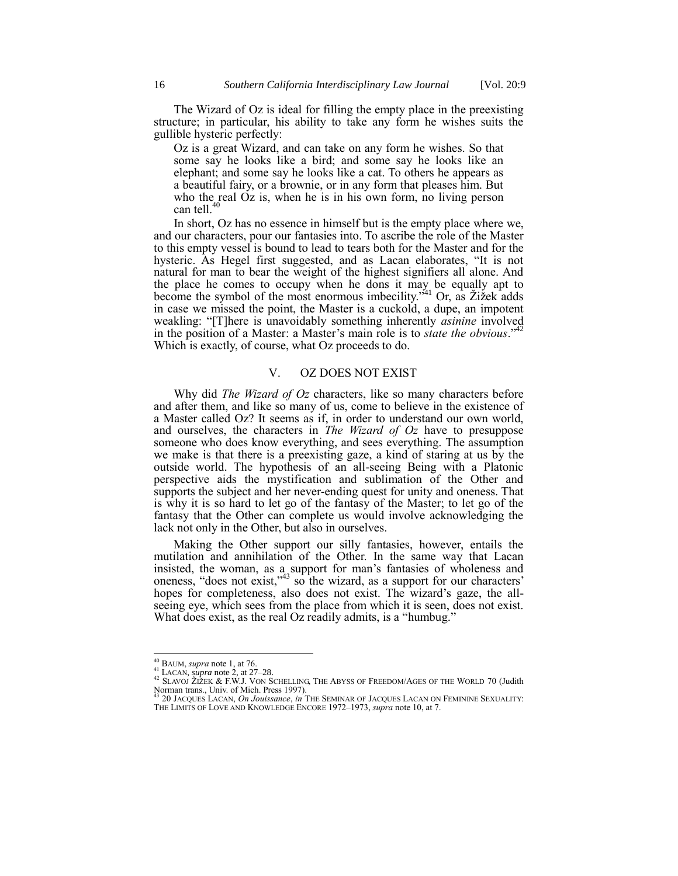The Wizard of Oz is ideal for filling the empty place in the preexisting structure; in particular, his ability to take any form he wishes suits the gullible hysteric perfectly:

Oz is a great Wizard, and can take on any form he wishes. So that some say he looks like a bird; and some say he looks like an elephant; and some say he looks like a cat. To others he appears as a beautiful fairy, or a brownie, or in any form that pleases him. But who the real Oz is, when he is in his own form, no living person can tell.<sup>40</sup>

In short, Oz has no essence in himself but is the empty place where we, and our characters, pour our fantasies into. To ascribe the role of the Master to this empty vessel is bound to lead to tears both for the Master and for the hysteric. As Hegel first suggested, and as Lacan elaborates, "It is not natural for man to bear the weight of the highest signifiers all alone. And the place he comes to occupy when he dons it may be equally apt to become the symbol of the most enormous imbecility."<sup>41</sup> Or, as Žižek adds in case we missed the point, the Master is a cuckold, a dupe, an impotent weakling: "[T]here is unavoidably something inherently *asinine* involved in the position of a Master: a Master's main role is to *state the obvious*." Which is exactly, of course, what Oz proceeds to do.

#### V. OZ DOES NOT EXIST

Why did *The Wizard of Oz* characters, like so many characters before and after them, and like so many of us, come to believe in the existence of a Master called Oz? It seems as if, in order to understand our own world, and ourselves, the characters in *The Wizard of Oz* have to presuppose someone who does know everything, and sees everything. The assumption we make is that there is a preexisting gaze, a kind of staring at us by the outside world. The hypothesis of an all-seeing Being with a Platonic perspective aids the mystification and sublimation of the Other and supports the subject and her never-ending quest for unity and oneness. That is why it is so hard to let go of the fantasy of the Master; to let go of the fantasy that the Other can complete us would involve acknowledging the lack not only in the Other, but also in ourselves.

Making the Other support our silly fantasies, however, entails the mutilation and annihilation of the Other. In the same way that Lacan insisted, the woman, as a support for man's fantasies of wholeness and oneness, "does not exist," $43$  so the wizard, as a support for our characters' hopes for completeness, also does not exist. The wizard's gaze, the allseeing eye, which sees from the place from which it is seen, does not exist. What does exist, as the real Oz readily admits, is a "humbug."

<sup>40</sup> BAUM, *supra* not[e 1,](#page-0-3) at 76.

 $41$  LACAN, *supra* note [2](#page-0-2), at 27–28.

 $^{42}$  SLAVOJ ŽIŽEK & F.W.J. VON SCHELLING, THE ABYSS OF FREEDOM/AGES OF THE WORLD 70 (Judith Norman trans., Univ. of Mich. Press 1997). SLAVOI ZIZEN & F. W.J. VON DEMELTING, THE SEMINAR OF JACQUES LACAN ON FEMININE SEXUALITY:<br><sup>43</sup> 20 JACQUES LACAN, *On Jouissance*, *in The Seminar of Jacques Lacan on Feminine Sexuality:* 

THE LIMITS OF LOVE AND KNOWLEDGE ENCORE 1972–1973, *supra* not[e 10,](#page-2-0) at 7.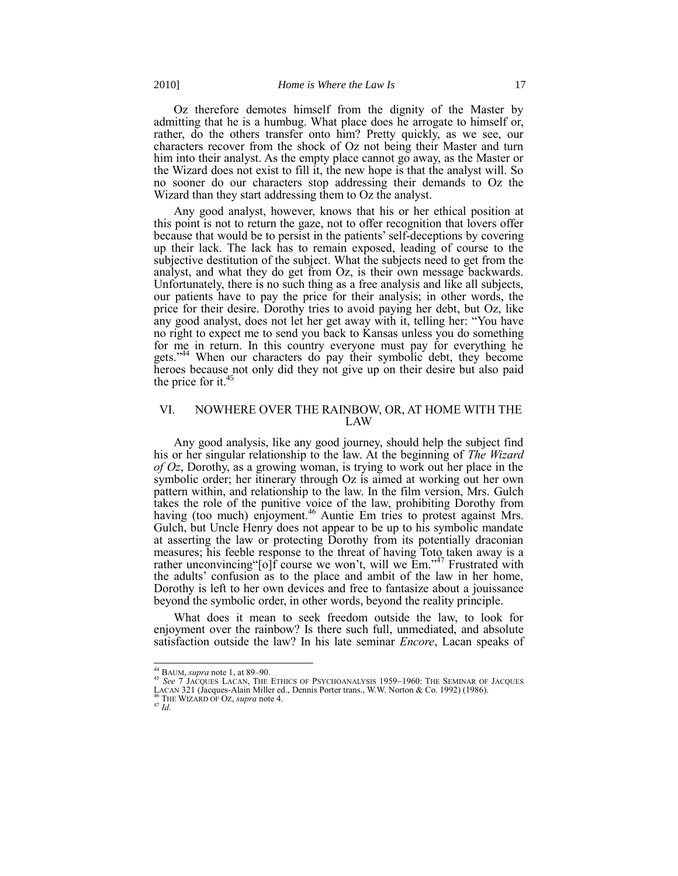Oz therefore demotes himself from the dignity of the Master by admitting that he is a humbug. What place does he arrogate to himself or, rather, do the others transfer onto him? Pretty quickly, as we see, our characters recover from the shock of Oz not being their Master and turn him into their analyst. As the empty place cannot go away, as the Master or the Wizard does not exist to fill it, the new hope is that the analyst will. So no sooner do our characters stop addressing their demands to Oz the Wizard than they start addressing them to Oz the analyst.

Any good analyst, however, knows that his or her ethical position at this point is not to return the gaze, not to offer recognition that lovers offer because that would be to persist in the patients' self-deceptions by covering up their lack. The lack has to remain exposed, leading of course to the subjective destitution of the subject. What the subjects need to get from the analyst, and what they do get from Oz, is their own message backwards. Unfortunately, there is no such thing as a free analysis and like all subjects, our patients have to pay the price for their analysis; in other words, the price for their desire. Dorothy tries to avoid paying her debt, but Oz, like any good analyst, does not let her get away with it, telling her: "You have no right to expect me to send you back to Kansas unless you do something for me in return. In this country everyone must pay for everything he gets."<sup>44</sup> When our characters do pay their symbolic debt, they become heroes because not only did they not give up on their desire but also paid the price for it. 45

## VI. NOWHERE OVER THE RAINBOW, OR, AT HOME WITH THE LAW

Any good analysis, like any good journey, should help the subject find his or her singular relationship to the law. At the beginning of *The Wizard of Oz*, Dorothy, as a growing woman, is trying to work out her place in the symbolic order; her itinerary through Oz is aimed at working out her own pattern within, and relationship to the law. In the film version, Mrs. Gulch takes the role of the punitive voice of the law, prohibiting Dorothy from having (too much) enjoyment.<sup>46</sup> Auntie Em tries to protest against Mrs. Gulch, but Uncle Henry does not appear to be up to his symbolic mandate at asserting the law or protecting Dorothy from its potentially draconian measures; his feeble response to the threat of having Toto taken away is a rather unconvincing "[o]f course we won't, will we  $Em.^{347}$  Frustrated with the adults' confusion as to the place and ambit of the law in her home, Dorothy is left to her own devices and free to fantasize about a jouissance beyond the symbolic order, in other words, beyond the reality principle.

What does it mean to seek freedom outside the law, to look for enjoyment over the rainbow? Is there such full, unmediated, and absolute satisfaction outside the law? In his late seminar *Encore*, Lacan speaks of

<sup>44</sup> BAUM, *supra* note [1,](#page-0-3) at 89–90.

<sup>&</sup>lt;sup>45</sup> See 7 JACQUES LACAN, THE ETHICS OF PSYCHOANALYSIS 1959–1960: THE SEMINAR OF JACQUES

LACAN 321 (Jacques-Alain Miller ed., Dennis Porter trans., W.W. Norton & Co. 1992) (1986). <sup>46</sup> THE WIZARD OF OZ, *supra* not[e 4.](#page-0-1)

 $^{47}\dot{I}d.$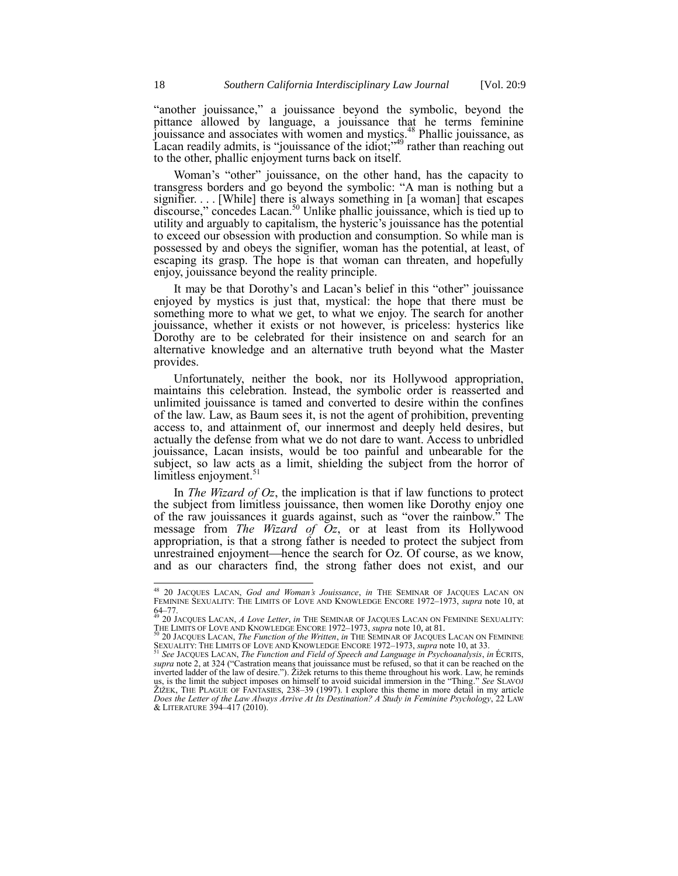"another jouissance," a jouissance beyond the symbolic, beyond the pittance allowed by language, a jouissance that he terms feminine jouissance and associates with women and mystics.<sup>48</sup> Phallic jouissance, as Lacan readily admits, is "jouissance of the idiot;" $49$  rather than reaching out to the other, phallic enjoyment turns back on itself.

Woman's "other" jouissance, on the other hand, has the capacity to transgress borders and go beyond the symbolic: "A man is nothing but a signifier. . . . [While] there is always something in [a woman] that escapes discourse," concedes Lacan.<sup>50</sup> Unlike phallic jouissance, which is tied up to utility and arguably to capitalism, the hysteric's jouissance has the potential to exceed our obsession with production and consumption. So while man is possessed by and obeys the signifier, woman has the potential, at least, of escaping its grasp. The hope is that woman can threaten, and hopefully enjoy, jouissance beyond the reality principle.

It may be that Dorothy's and Lacan's belief in this "other" jouissance enjoyed by mystics is just that, mystical: the hope that there must be something more to what we get, to what we enjoy. The search for another jouissance, whether it exists or not however, is priceless: hysterics like Dorothy are to be celebrated for their insistence on and search for an alternative knowledge and an alternative truth beyond what the Master provides.

Unfortunately, neither the book, nor its Hollywood appropriation, maintains this celebration. Instead, the symbolic order is reasserted and unlimited jouissance is tamed and converted to desire within the confines of the law. Law, as Baum sees it, is not the agent of prohibition, preventing access to, and attainment of, our innermost and deeply held desires, but actually the defense from what we do not dare to want. Access to unbridled jouissance, Lacan insists, would be too painful and unbearable for the subject, so law acts as a limit, shielding the subject from the horror of limitless enjoyment.<sup>51</sup>

In *The Wizard of Oz*, the implication is that if law functions to protect the subject from limitless jouissance, then women like Dorothy enjoy one of the raw jouissances it guards against, such as "over the rainbow." The message from *The Wizard of Oz*, or at least from its Hollywood appropriation, is that a strong father is needed to protect the subject from unrestrained enjoyment—hence the search for  $Oz$ . Of course, as we know, and as our characters find, the strong father does not exist, and our

<sup>48</sup> 20 JACQUES LACAN, *God and Woman's Jouissance*, *in* THE SEMINAR OF JACQUES LACAN ON FEMININE SEXUALITY: THE LIMITS OF LOVE AND KNOWLEDGE ENCORE 1972–1973, *supra* not[e 10,](#page-2-0) at 64–77. <sup>49</sup> 20 JACQUES LACAN, *A Love Letter*, *in* THE SEMINAR OF JACQUES LACAN ON FEMININE SEXUALITY:

THE LIMITS OF LOVE AND KNOWLEDGE ENCORE 1972–1973, *supra* not[e 10](#page-2-0), at 81. <sup>50</sup> 20 JACQUES LACAN, *The Function of the Written*, *in* THE SEMINAR OF JACQUES LACAN ON FEMININE

SEXUALITY: THE LIMITS OF LOVE AND KNOWLEDGE ENCORE 1972–1973, *supra* not[e 10,](#page-2-0) at 33.<br>SEXUALITY: THE LIMITS OF LOVE AND KNOWLEDGE ENCORE 1972–1973, *supra* note 10, at 33.

<sup>51</sup> *See* JACQUES LACAN, *The Function and Field of Speech and Language in Psychoanalysis*, *in* ÉCRITS, *supra* not[e 2,](#page-0-2) at 324 ("Castration means that jouissance must be refused, so that it can be reached on the inverted ladder of the law of desire."). Žižek returns to this theme throughout his work. Law, he reminds us, is the limit the subject imposes on himself to avoid suicidal immersion in the "Thing." See SLAVOJ ŽIŽEK, THE PLAGUE OF FANTASIES, 238–39 (1997). I explore this theme in more detail in my article *Does the Letter of the Law Always Arrive At Its Destination? A Study in Feminine Psychology*, 22 LAW & LITERATURE 394*–*417 (2010).